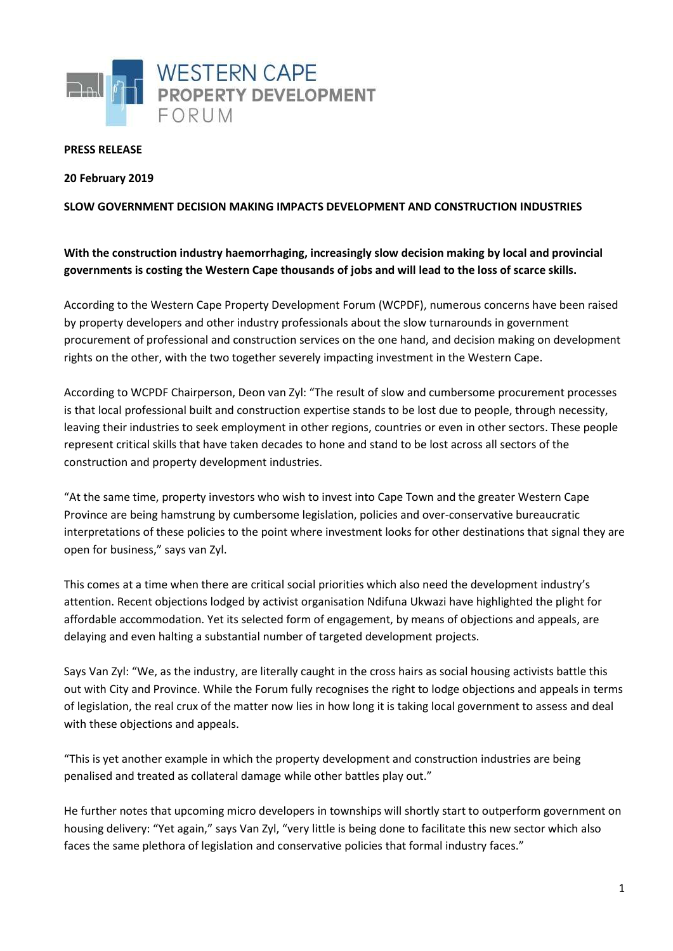

## **PRESS RELEASE**

**20 February 2019**

## **SLOW GOVERNMENT DECISION MAKING IMPACTS DEVELOPMENT AND CONSTRUCTION INDUSTRIES**

## **With the construction industry haemorrhaging, increasingly slow decision making by local and provincial governments is costing the Western Cape thousands of jobs and will lead to the loss of scarce skills.**

According to the Western Cape Property Development Forum (WCPDF), numerous concerns have been raised by property developers and other industry professionals about the slow turnarounds in government procurement of professional and construction services on the one hand, and decision making on development rights on the other, with the two together severely impacting investment in the Western Cape.

According to WCPDF Chairperson, Deon van Zyl: "The result of slow and cumbersome procurement processes is that local professional built and construction expertise stands to be lost due to people, through necessity, leaving their industries to seek employment in other regions, countries or even in other sectors. These people represent critical skills that have taken decades to hone and stand to be lost across all sectors of the construction and property development industries.

"At the same time, property investors who wish to invest into Cape Town and the greater Western Cape Province are being hamstrung by cumbersome legislation, policies and over-conservative bureaucratic interpretations of these policies to the point where investment looks for other destinations that signal they are open for business," says van Zyl.

This comes at a time when there are critical social priorities which also need the development industry's attention. Recent objections lodged by activist organisation Ndifuna Ukwazi have highlighted the plight for affordable accommodation. Yet its selected form of engagement, by means of objections and appeals, are delaying and even halting a substantial number of targeted development projects.

Says Van Zyl: "We, as the industry, are literally caught in the cross hairs as social housing activists battle this out with City and Province. While the Forum fully recognises the right to lodge objections and appeals in terms of legislation, the real crux of the matter now lies in how long it is taking local government to assess and deal with these objections and appeals.

"This is yet another example in which the property development and construction industries are being penalised and treated as collateral damage while other battles play out."

He further notes that upcoming micro developers in townships will shortly start to outperform government on housing delivery: "Yet again," says Van Zyl, "very little is being done to facilitate this new sector which also faces the same plethora of legislation and conservative policies that formal industry faces."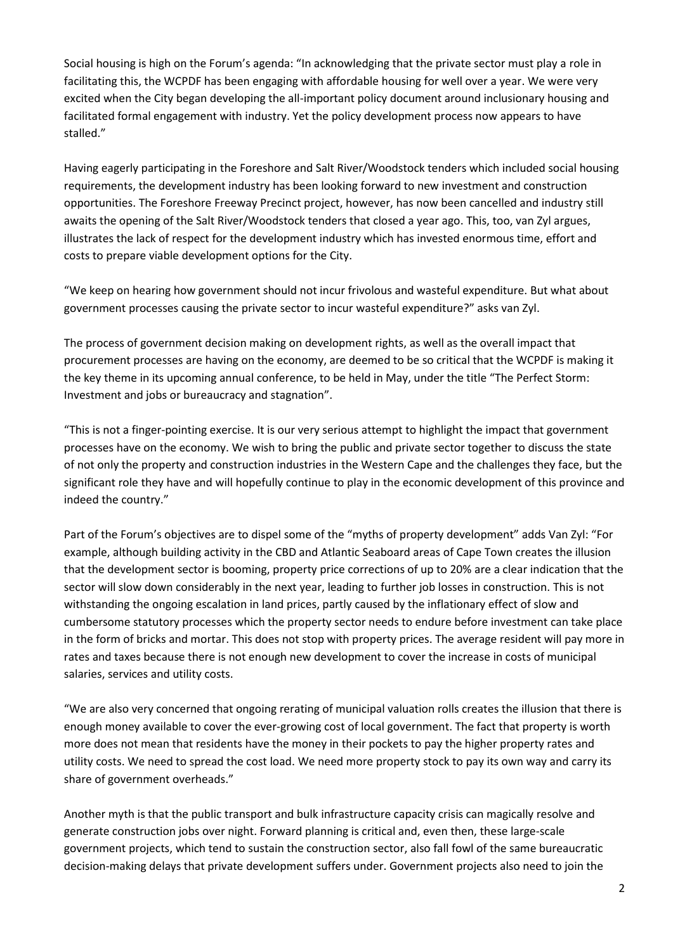Social housing is high on the Forum's agenda: "In acknowledging that the private sector must play a role in facilitating this, the WCPDF has been engaging with affordable housing for well over a year. We were very excited when the City began developing the all-important policy document around inclusionary housing and facilitated formal engagement with industry. Yet the policy development process now appears to have stalled."

Having eagerly participating in the Foreshore and Salt River/Woodstock tenders which included social housing requirements, the development industry has been looking forward to new investment and construction opportunities. The Foreshore Freeway Precinct project, however, has now been cancelled and industry still awaits the opening of the Salt River/Woodstock tenders that closed a year ago. This, too, van Zyl argues, illustrates the lack of respect for the development industry which has invested enormous time, effort and costs to prepare viable development options for the City.

"We keep on hearing how government should not incur frivolous and wasteful expenditure. But what about government processes causing the private sector to incur wasteful expenditure?" asks van Zyl.

The process of government decision making on development rights, as well as the overall impact that procurement processes are having on the economy, are deemed to be so critical that the WCPDF is making it the key theme in its upcoming annual conference, to be held in May, under the title "The Perfect Storm: Investment and jobs or bureaucracy and stagnation".

"This is not a finger-pointing exercise. It is our very serious attempt to highlight the impact that government processes have on the economy. We wish to bring the public and private sector together to discuss the state of not only the property and construction industries in the Western Cape and the challenges they face, but the significant role they have and will hopefully continue to play in the economic development of this province and indeed the country."

Part of the Forum's objectives are to dispel some of the "myths of property development" adds Van Zyl: "For example, although building activity in the CBD and Atlantic Seaboard areas of Cape Town creates the illusion that the development sector is booming, property price corrections of up to 20% are a clear indication that the sector will slow down considerably in the next year, leading to further job losses in construction. This is not withstanding the ongoing escalation in land prices, partly caused by the inflationary effect of slow and cumbersome statutory processes which the property sector needs to endure before investment can take place in the form of bricks and mortar. This does not stop with property prices. The average resident will pay more in rates and taxes because there is not enough new development to cover the increase in costs of municipal salaries, services and utility costs.

"We are also very concerned that ongoing rerating of municipal valuation rolls creates the illusion that there is enough money available to cover the ever-growing cost of local government. The fact that property is worth more does not mean that residents have the money in their pockets to pay the higher property rates and utility costs. We need to spread the cost load. We need more property stock to pay its own way and carry its share of government overheads."

Another myth is that the public transport and bulk infrastructure capacity crisis can magically resolve and generate construction jobs over night. Forward planning is critical and, even then, these large-scale government projects, which tend to sustain the construction sector, also fall fowl of the same bureaucratic decision-making delays that private development suffers under. Government projects also need to join the